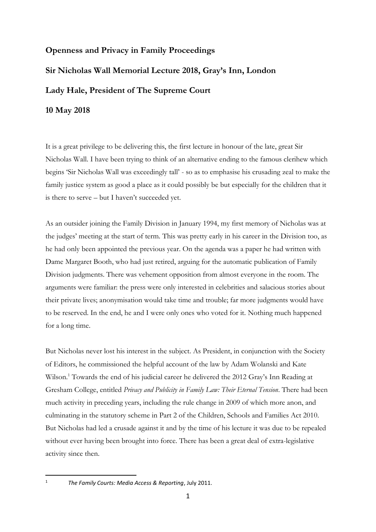## **Openness and Privacy in Family Proceedings**

## **Sir Nicholas Wall Memorial Lecture 2018, Gray's Inn, London Lady Hale, President of The Supreme Court**

**10 May 2018**

It is a great privilege to be delivering this, the first lecture in honour of the late, great Sir Nicholas Wall. I have been trying to think of an alternative ending to the famous clerihew which begins 'Sir Nicholas Wall was exceedingly tall' - so as to emphasise his crusading zeal to make the family justice system as good a place as it could possibly be but especially for the children that it is there to serve – but I haven't succeeded yet.

As an outsider joining the Family Division in January 1994, my first memory of Nicholas was at the judges' meeting at the start of term. This was pretty early in his career in the Division too, as he had only been appointed the previous year. On the agenda was a paper he had written with Dame Margaret Booth, who had just retired, arguing for the automatic publication of Family Division judgments. There was vehement opposition from almost everyone in the room. The arguments were familiar: the press were only interested in celebrities and salacious stories about their private lives; anonymisation would take time and trouble; far more judgments would have to be reserved. In the end, he and I were only ones who voted for it. Nothing much happened for a long time.

But Nicholas never lost his interest in the subject. As President, in conjunction with the Society of Editors, he commissioned the helpful account of the law by Adam Wolanski and Kate Wilson.<sup>1</sup> Towards the end of his judicial career he delivered the 2012 Gray's Inn Reading at Gresham College, entitled *Privacy and Publicity in Family Law: Their Eternal Tension*. There had been much activity in preceding years, including the rule change in 2009 of which more anon, and culminating in the statutory scheme in Part 2 of the Children, Schools and Families Act 2010. But Nicholas had led a crusade against it and by the time of his lecture it was due to be repealed without ever having been brought into force. There has been a great deal of extra-legislative activity since then.

<sup>1</sup> *The Family Courts: Media Access & Reporting*, July 2011.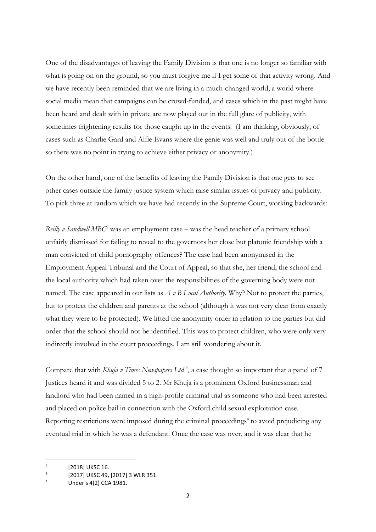One of the disadvantages of leaving the Family Division is that one is no longer so familiar with what is going on on the ground, so you must forgive me if I get some of that activity wrong. And we have recently been reminded that we are living in a much-changed world, a world where social media mean that campaigns can be crowd-funded, and cases which in the past might have been heard and dealt with in private are now played out in the full glare of publicity, with sometimes frightening results for those caught up in the events. (I am thinking, obviously, of cases such as Charlie Gard and Alfie Evans where the genie was well and truly out of the bottle so there was no point in trying to achieve either privacy or anonymity.)

On the other hand, one of the benefits of leaving the Family Division is that one gets to see other cases outside the family justice system which raise similar issues of privacy and publicity. To pick three at random which we have had recently in the Supreme Court, working backwards:

*Reilly v Sandwell MBC*<sup>2</sup> was an employment case – was the head teacher of a primary school unfairly dismissed for failing to reveal to the governors her close but platonic friendship with a man convicted of child pornography offences? The case had been anonymised in the Employment Appeal Tribunal and the Court of Appeal, so that she, her friend, the school and the local authority which had taken over the responsibilities of the governing body were not named. The case appeared in our lists as *A v B Local Authority.* Why? Not to protect the parties, but to protect the children and parents at the school (although it was not very clear from exactly what they were to be protected). We lifted the anonymity order in relation to the parties but did order that the school should not be identified. This was to protect children, who were only very indirectly involved in the court proceedings. I am still wondering about it.

Compare that with *Khuja v Times Newspapers Ltd*<sup>3</sup>, a case thought so important that a panel of 7 Justices heard it and was divided 5 to 2. Mr Khuja is a prominent Oxford businessman and landlord who had been named in a high-profile criminal trial as someone who had been arrested and placed on police bail in connection with the Oxford child sexual exploitation case. Reporting restrictions were imposed during the criminal proceedings<sup>4</sup> to avoid prejudicing any eventual trial in which he was a defendant. Once the case was over, and it was clear that he

 $\overline{2}$ [2018] UKSC 16.

<sup>3</sup> [2017] UKSC 49, [2017] 3 WLR 351.

<sup>4</sup> Under s 4(2) CCA 1981.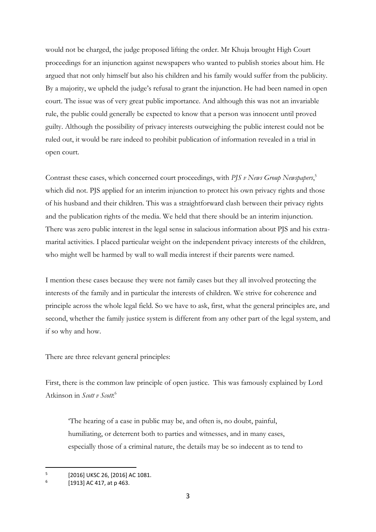would not be charged, the judge proposed lifting the order. Mr Khuja brought High Court proceedings for an injunction against newspapers who wanted to publish stories about him. He argued that not only himself but also his children and his family would suffer from the publicity. By a majority, we upheld the judge's refusal to grant the injunction. He had been named in open court. The issue was of very great public importance. And although this was not an invariable rule, the public could generally be expected to know that a person was innocent until proved guilty. Although the possibility of privacy interests outweighing the public interest could not be ruled out, it would be rare indeed to prohibit publication of information revealed in a trial in open court.

Contrast these cases, which concerned court proceedings, with *PJS v News Group Newspapers*, 5 which did not. PJS applied for an interim injunction to protect his own privacy rights and those of his husband and their children. This was a straightforward clash between their privacy rights and the publication rights of the media. We held that there should be an interim injunction. There was zero public interest in the legal sense in salacious information about PJS and his extramarital activities. I placed particular weight on the independent privacy interests of the children, who might well be harmed by wall to wall media interest if their parents were named.

I mention these cases because they were not family cases but they all involved protecting the interests of the family and in particular the interests of children. We strive for coherence and principle across the whole legal field. So we have to ask, first, what the general principles are, and second, whether the family justice system is different from any other part of the legal system, and if so why and how.

There are three relevant general principles:

First, there is the common law principle of open justice. This was famously explained by Lord Atkinson in *Scott v Scott*: 6

'The hearing of a case in public may be, and often is, no doubt, painful, humiliating, or deterrent both to parties and witnesses, and in many cases, especially those of a criminal nature, the details may be so indecent as to tend to

<sup>5</sup> [2016] UKSC 26, [2016] AC 1081.

<sup>6</sup> [1913] AC 417, at p 463.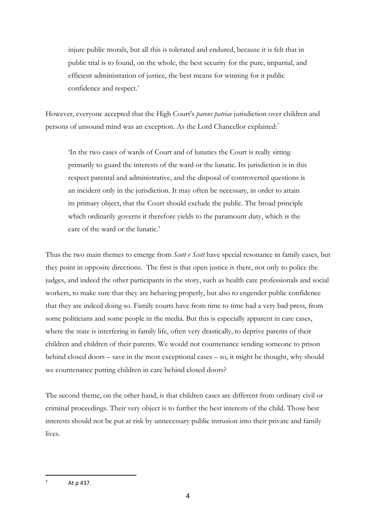injure public morals, but all this is tolerated and endured, because it is felt that in public trial is to found, on the whole, the best security for the pure, impartial, and efficient administration of justice, the best means for winning for it public confidence and respect.'

However, everyone accepted that the High Court's *parens patriae* jurisdiction over children and persons of unsound mind was an exception. As the Lord Chancellor explained:<sup>7</sup>

'In the two cases of wards of Court and of lunatics the Court is really sitting primarily to guard the interests of the ward or the lunatic. Its jurisdiction is in this respect parental and administrative, and the disposal of controverted questions is an incident only in the jurisdiction. It may often be necessary, in order to attain its primary object, that the Court should exclude the public. The broad principle which ordinarily governs it therefore yields to the paramount duty, which is the care of the ward or the lunatic.'

Thus the two main themes to emerge from *Scott v Scott* have special resonance in family cases, but they point in opposite directions. The first is that open justice is there, not only to police the judges, and indeed the other participants in the story, such as health care professionals and social workers, to make sure that they are behaving properly, but also to engender public confidence that they are indeed doing so. Family courts have from time to time had a very bad press, from some politicians and some people in the media. But this is especially apparent in care cases, where the state is interfering in family life, often very drastically, to deprive parents of their children and children of their parents. We would not countenance sending someone to prison behind closed doors – save in the most exceptional cases – so, it might be thought, why should we countenance putting children in care behind closed doors?

The second theme, on the other hand, is that children cases are different from ordinary civil or criminal proceedings. Their very object is to further the best interests of the child. Those best interests should not be put at risk by unnecessary public intrusion into their private and family lives.

 $7$  At p 437.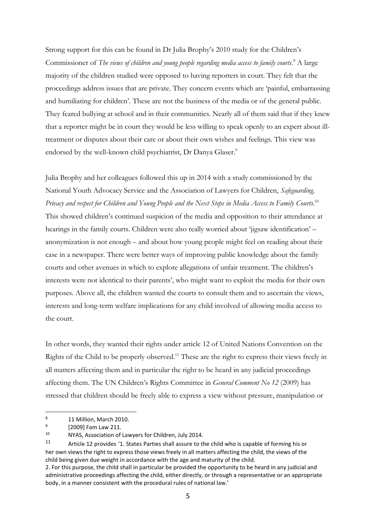Strong support for this can be found in Dr Julia Brophy's 2010 study for the Children's Commissioner of *The views of children and young people regarding media access to family courts*. <sup>8</sup> A large majority of the children studied were opposed to having reporters in court. They felt that the proceedings address issues that are private. They concern events which are 'painful, embarrassing and humiliating for children'. These are not the business of the media or of the general public. They feared bullying at school and in their communities. Nearly all of them said that if they knew that a reporter might be in court they would be less willing to speak openly to an expert about illtreatment or disputes about their care or about their own wishes and feelings. This view was endorsed by the well-known child psychiatrist, Dr Danya Glaser.<sup>9</sup>

Julia Brophy and her colleagues followed this up in 2014 with a study commissioned by the National Youth Advocacy Service and the Association of Lawyers for Children, *Safeguarding, Privacy and respect for Children and Young People and the Next Steps in Media Access to Family Courts*. 10 This showed children's continued suspicion of the media and opposition to their attendance at hearings in the family courts. Children were also really worried about 'jigsaw identification' – anonymization is not enough – and about how young people might feel on reading about their case in a newspaper. There were better ways of improving public knowledge about the family courts and other avenues in which to explore allegations of unfair treatment. The children's interests were not identical to their parents', who might want to exploit the media for their own purposes. Above all, the children wanted the courts to consult them and to ascertain the views, interests and long-term welfare implications for any child involved of allowing media access to the court.

In other words, they wanted their rights under article 12 of United Nations Convention on the Rights of the Child to be properly observed.<sup>11</sup> These are the right to express their views freely in all matters affecting them and in particular the right to be heard in any judicial proceedings affecting them. The UN Children's Rights Committee in *General Comment No 12* (2009) has stressed that children should be freely able to express a view without pressure, manipulation or

<sup>8</sup> 11 Million, March 2010.

<sup>9</sup> [2009] Fam Law 211.

<sup>10</sup> NYAS, Association of Lawyers for Children, July 2014.

<sup>11</sup> Article 12 provides '1. States Parties shall assure to the child who is capable of forming his or her own views the right to express those views freely in all matters affecting the child, the views of the child being given due weight in accordance with the age and maturity of the child.

<sup>2.</sup> For this purpose, the child shall in particular be provided the opportunity to be heard in any judicial and administrative proceedings affecting the child, either directly, or through a representative or an appropriate body, in a manner consistent with the procedural rules of national law.'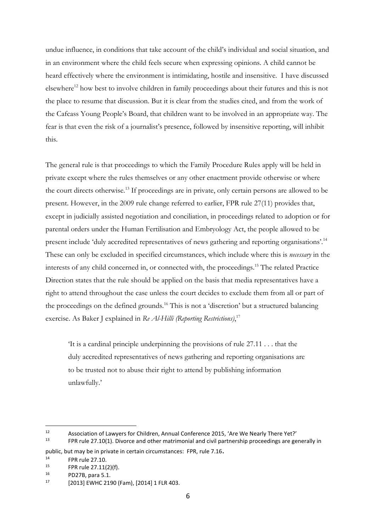undue influence, in conditions that take account of the child's individual and social situation, and in an environment where the child feels secure when expressing opinions. A child cannot be heard effectively where the environment is intimidating, hostile and insensitive. I have discussed elsewhere<sup>12</sup> how best to involve children in family proceedings about their futures and this is not the place to resume that discussion. But it is clear from the studies cited, and from the work of the Cafcass Young People's Board, that children want to be involved in an appropriate way. The fear is that even the risk of a journalist's presence, followed by insensitive reporting, will inhibit this.

The general rule is that proceedings to which the Family Procedure Rules apply will be held in private except where the rules themselves or any other enactment provide otherwise or where the court directs otherwise.<sup>13</sup> If proceedings are in private, only certain persons are allowed to be present. However, in the 2009 rule change referred to earlier, FPR rule 27(11) provides that, except in judicially assisted negotiation and conciliation, in proceedings related to adoption or for parental orders under the Human Fertilisation and Embryology Act, the people allowed to be present include 'duly accredited representatives of news gathering and reporting organisations'.<sup>14</sup> These can only be excluded in specified circumstances, which include where this is *necessary* in the interests of any child concerned in, or connected with, the proceedings.<sup>15</sup> The related Practice Direction states that the rule should be applied on the basis that media representatives have a right to attend throughout the case unless the court decides to exclude them from all or part of the proceedings on the defined grounds.<sup>16</sup> This is not a 'discretion' but a structured balancing exercise. As Baker J explained in *Re Al-Hilli (Reporting Restrictions)*, 17

'It is a cardinal principle underpinning the provisions of rule 27.11 . . . that the duly accredited representatives of news gathering and reporting organisations are to be trusted not to abuse their right to attend by publishing information unlawfully.'

<sup>12</sup> Association of Lawyers for Children, Annual Conference 2015, 'Are We Nearly There Yet?'<br>
I<sup>13</sup> EPP rule 27.10(1). Diverse and other matrimonial and civil partnership preceedings are go <sup>13</sup> FPR rule 27.10(1). Divorce and other matrimonial and civil partnership proceedings are generally in

public, but may be in private in certain circumstances: FPR, rule 7.16.

<sup>&</sup>lt;sup>14</sup> FPR rule 27.10.

<sup>&</sup>lt;sup>15</sup> FPR rule 27.11(2)(f).<br><sup>16</sup> PD27P Rata 5.1

 $^{16}$  PD27B, para 5.1.

<sup>[2013]</sup> EWHC 2190 (Fam), [2014] 1 FLR 403.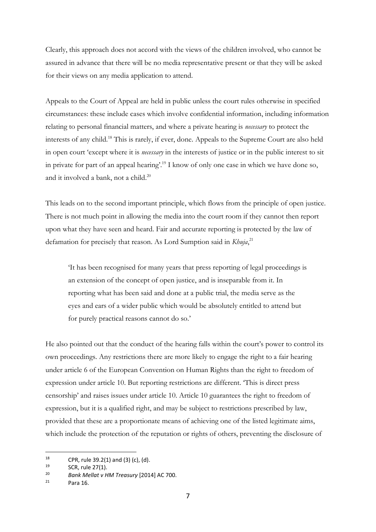Clearly, this approach does not accord with the views of the children involved, who cannot be assured in advance that there will be no media representative present or that they will be asked for their views on any media application to attend.

Appeals to the Court of Appeal are held in public unless the court rules otherwise in specified circumstances: these include cases which involve confidential information, including information relating to personal financial matters, and where a private hearing is *necessary* to protect the interests of any child.<sup>18</sup> This is rarely, if ever, done. Appeals to the Supreme Court are also held in open court 'except where it is *necessary* in the interests of justice or in the public interest to sit in private for part of an appeal hearing'. <sup>19</sup> I know of only one case in which we have done so, and it involved a bank, not a child. 20

This leads on to the second important principle, which flows from the principle of open justice. There is not much point in allowing the media into the court room if they cannot then report upon what they have seen and heard. Fair and accurate reporting is protected by the law of defamation for precisely that reason. As Lord Sumption said in *Khuja*, 21

'It has been recognised for many years that press reporting of legal proceedings is an extension of the concept of open justice, and is inseparable from it. In reporting what has been said and done at a public trial, the media serve as the eyes and ears of a wider public which would be absolutely entitled to attend but for purely practical reasons cannot do so.'

He also pointed out that the conduct of the hearing falls within the court's power to control its own proceedings. Any restrictions there are more likely to engage the right to a fair hearing under article 6 of the European Convention on Human Rights than the right to freedom of expression under article 10. But reporting restrictions are different. 'This is direct press censorship' and raises issues under article 10. Article 10 guarantees the right to freedom of expression, but it is a qualified right, and may be subject to restrictions prescribed by law, provided that these are a proportionate means of achieving one of the listed legitimate aims, which include the protection of the reputation or rights of others, preventing the disclosure of

<sup>&</sup>lt;sup>18</sup> CPR, rule 39.2(1) and (3) (c), (d).

<sup>&</sup>lt;sup>19</sup> SCR, rule 27(1).<br><sup>20</sup> *Bank Mollat v.l.* 

<sup>20</sup> *Bank Mellat v HM Treasury* [2014] AC 700.

Para 16.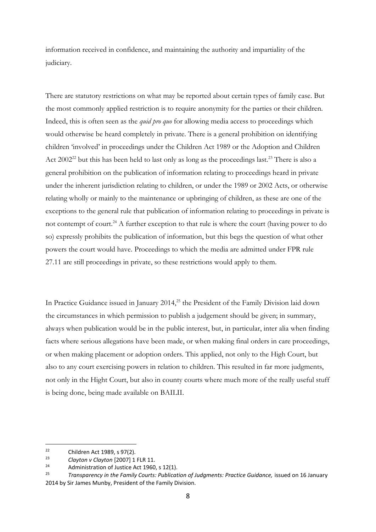information received in confidence, and maintaining the authority and impartiality of the judiciary.

There are statutory restrictions on what may be reported about certain types of family case. But the most commonly applied restriction is to require anonymity for the parties or their children. Indeed, this is often seen as the *quid pro quo* for allowing media access to proceedings which would otherwise be heard completely in private. There is a general prohibition on identifying children 'involved' in proceedings under the Children Act 1989 or the Adoption and Children Act  $2002^{22}$  but this has been held to last only as long as the proceedings last.<sup>23</sup> There is also a general prohibition on the publication of information relating to proceedings heard in private under the inherent jurisdiction relating to children, or under the 1989 or 2002 Acts, or otherwise relating wholly or mainly to the maintenance or upbringing of children, as these are one of the exceptions to the general rule that publication of information relating to proceedings in private is not contempt of court.<sup>24</sup> A further exception to that rule is where the court (having power to do so) expressly prohibits the publication of information, but this begs the question of what other powers the court would have. Proceedings to which the media are admitted under FPR rule 27.11 are still proceedings in private, so these restrictions would apply to them.

In Practice Guidance issued in January 2014,<sup>25</sup> the President of the Family Division laid down the circumstances in which permission to publish a judgement should be given; in summary, always when publication would be in the public interest, but, in particular, inter alia when finding facts where serious allegations have been made, or when making final orders in care proceedings, or when making placement or adoption orders. This applied, not only to the High Court, but also to any court exercising powers in relation to children. This resulted in far more judgments, not only in the Hight Court, but also in county courts where much more of the really useful stuff is being done, being made available on BAILII.

<sup>&</sup>lt;sup>22</sup> Children Act 1989, s 97(2).<br><sup>23</sup> Clauten v Clauten <sup>[2007]</sup> 1.

<sup>23</sup> *Clayton v Clayton* [2007] 1 FLR 11.

<sup>&</sup>lt;sup>24</sup> Administration of Justice Act 1960, s 12(1).<br><sup>25</sup> Transparency in the Family Courts, Bubliet

<sup>25</sup> *Transparency in the Family Courts: Publication of Judgments: Practice Guidance,* issued on 16 January 2014 by Sir James Munby, President of the Family Division.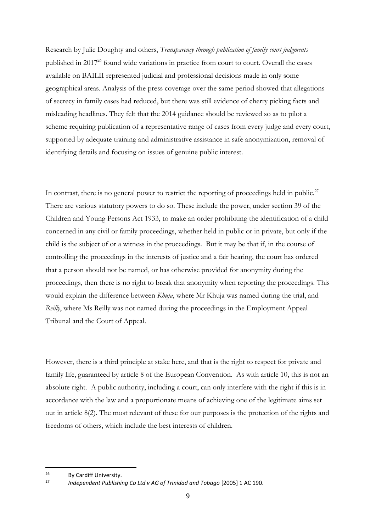Research by Julie Doughty and others, *Transparency through publication of family court judgments* published in 2017<sup>26</sup> found wide variations in practice from court to court. Overall the cases available on BAILII represented judicial and professional decisions made in only some geographical areas. Analysis of the press coverage over the same period showed that allegations of secrecy in family cases had reduced, but there was still evidence of cherry picking facts and misleading headlines. They felt that the 2014 guidance should be reviewed so as to pilot a scheme requiring publication of a representative range of cases from every judge and every court, supported by adequate training and administrative assistance in safe anonymization, removal of identifying details and focusing on issues of genuine public interest.

In contrast, there is no general power to restrict the reporting of proceedings held in public.<sup>27</sup> There are various statutory powers to do so. These include the power, under section 39 of the Children and Young Persons Act 1933, to make an order prohibiting the identification of a child concerned in any civil or family proceedings, whether held in public or in private, but only if the child is the subject of or a witness in the proceedings. But it may be that if, in the course of controlling the proceedings in the interests of justice and a fair hearing, the court has ordered that a person should not be named, or has otherwise provided for anonymity during the proceedings, then there is no right to break that anonymity when reporting the proceedings. This would explain the difference between *Khuja*, where Mr Khuja was named during the trial, and *Reilly*, where Ms Reilly was not named during the proceedings in the Employment Appeal Tribunal and the Court of Appeal.

However, there is a third principle at stake here, and that is the right to respect for private and family life, guaranteed by article 8 of the European Convention. As with article 10, this is not an absolute right. A public authority, including a court, can only interfere with the right if this is in accordance with the law and a proportionate means of achieving one of the legitimate aims set out in article 8(2). The most relevant of these for our purposes is the protection of the rights and freedoms of others, which include the best interests of children.

 $26$  By Cardiff University.

<sup>27</sup> *Independent Publishing Co Ltd v AG of Trinidad and Tobago* [2005] 1 AC 190.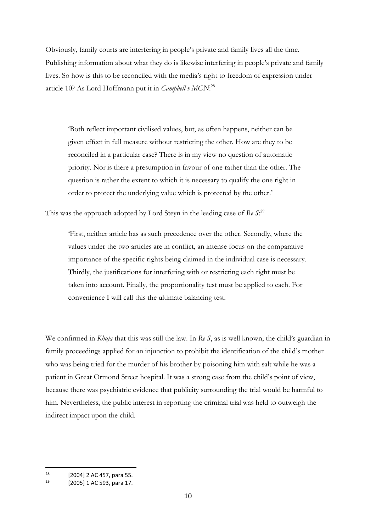Obviously, family courts are interfering in people's private and family lives all the time. Publishing information about what they do is likewise interfering in people's private and family lives. So how is this to be reconciled with the media's right to freedom of expression under article 10? As Lord Hoffmann put it in *Campbell v MGN*: 28

'Both reflect important civilised values, but, as often happens, neither can be given effect in full measure without restricting the other. How are they to be reconciled in a particular case? There is in my view no question of automatic priority. Nor is there a presumption in favour of one rather than the other. The question is rather the extent to which it is necessary to qualify the one right in order to protect the underlying value which is protected by the other.'

This was the approach adopted by Lord Steyn in the leading case of Re S:<sup>29</sup>

'First, neither article has as such precedence over the other. Secondly, where the values under the two articles are in conflict, an intense focus on the comparative importance of the specific rights being claimed in the individual case is necessary. Thirdly, the justifications for interfering with or restricting each right must be taken into account. Finally, the proportionality test must be applied to each. For convenience I will call this the ultimate balancing test.

We confirmed in *Khuja* that this was still the law. In *Re S*, as is well known, the child's guardian in family proceedings applied for an injunction to prohibit the identification of the child's mother who was being tried for the murder of his brother by poisoning him with salt while he was a patient in Great Ormond Street hospital. It was a strong case from the child's point of view, because there was psychiatric evidence that publicity surrounding the trial would be harmful to him. Nevertheless, the public interest in reporting the criminal trial was held to outweigh the indirect impact upon the child.

<sup>&</sup>lt;sup>28</sup> [2004] 2 AC 457, para 55.

<sup>[2005] 1</sup> AC 593, para 17.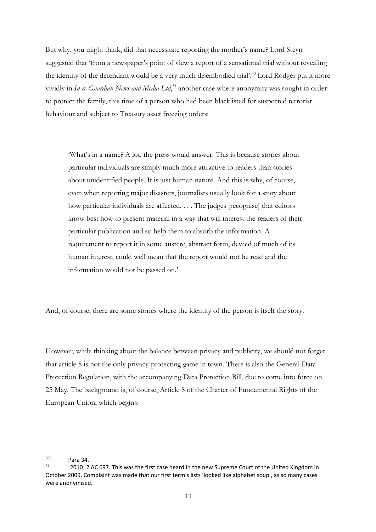But why, you might think, did that necessitate reporting the mother's name? Lord Steyn suggested that 'from a newspaper's point of view a report of a sensational trial without revealing the identity of the defendant would be a very much disembodied trial'.<sup>30</sup> Lord Rodger put it more vividly in *In re Guardian News and Media Ltd*, <sup>31</sup> another case where anonymity was sought in order to protect the family, this time of a person who had been blacklisted for suspected terrorist behaviour and subject to Treasury asset freezing orders:

'What's in a name? A lot, the press would answer. This is because stories about particular individuals are simply much more attractive to readers than stories about unidentified people. It is just human nature. And this is why, of course, even when reporting major disasters, journalists usually look for a story about how particular individuals are affected. . . . The judges [recognise] that editors know best how to present material in a way that will interest the readers of their particular publication and so help them to absorb the information. A requirement to report it in some austere, abstract form, devoid of much of its human interest, could well mean that the report would not be read and the information would not be passed on.'

And, of course, there are some stories where the identity of the person is itself the story.

However, while thinking about the balance between privacy and publicity, we should not forget that article 8 is not the only privacy-protecting game in town. There is also the General Data Protection Regulation, with the accompanying Data Protection Bill, due to come into force on 25 May. The background is, of course, Article 8 of the Charter of Fundamental Rights of the European Union, which begins:

 $30$  Para 34.<br> $31$  F20101.2

<sup>[2010] 2</sup> AC 697. This was the first case heard in the new Supreme Court of the United Kingdom in October 2009. Complaint was made that our first term's lists 'looked like alphabet soup', as so many cases were anonymised.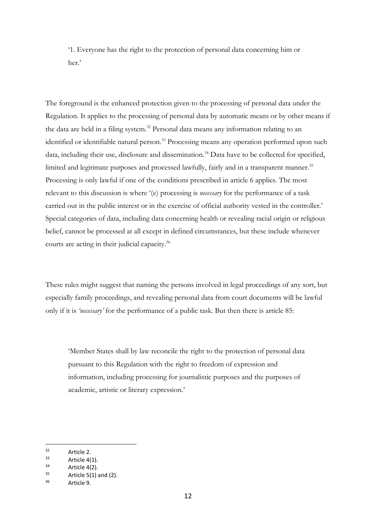'1. Everyone has the right to the protection of personal data concerning him or her.'

The foreground is the enhanced protection given to the processing of personal data under the Regulation. It applies to the processing of personal data by automatic means or by other means if the data are held in a filing system.<sup>32</sup> Personal data means any information relating to an identified or identifiable natural person.<sup>33</sup> Processing means any operation performed upon such data, including their use, disclosure and dissemination.<sup>34</sup> Data have to be collected for specified, limited and legitimate purposes and processed lawfully, fairly and in a transparent manner.<sup>35</sup> Processing is only lawful if one of the conditions prescribed in article 6 applies. The most relevant to this discussion is where '(e) processing is *necessary* for the performance of a task carried out in the public interest or in the exercise of official authority vested in the controller.' Special categories of data, including data concerning health or revealing racial origin or religious belief, cannot be processed at all except in defined circumstances, but these include whenever courts are acting in their judicial capacity.<sup>36</sup>

These rules might suggest that naming the persons involved in legal proceedings of any sort, but especially family proceedings, and revealing personal data from court documents will be lawful only if it is *'necessary'* for the performance of a public task. But then there is article 85:

'Member States shall by law reconcile the right to the protection of personal data pursuant to this Regulation with the right to freedom of expression and information, including processing for journalistic purposes and the purposes of academic, artistic or literary expression.'

<sup>32</sup> Article 2.

 $33$  Article 4(1).

 $34$  Article 4(2).

Article  $5(1)$  and  $(2)$ .

<sup>36</sup> Article 9.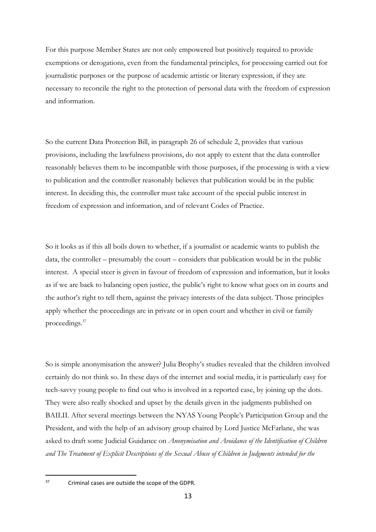For this purpose Member States are not only empowered but positively required to provide exemptions or derogations, even from the fundamental principles, for processing carried out for journalistic purposes or the purpose of academic artistic or literary expression, if they are necessary to reconcile the right to the protection of personal data with the freedom of expression and information.

So the current Data Protection Bill, in paragraph 26 of schedule 2, provides that various provisions, including the lawfulness provisions, do not apply to extent that the data controller reasonably believes them to be incompatible with those purposes, if the processing is with a view to publication and the controller reasonably believes that publication would be in the public interest. In deciding this, the controller must take account of the special public interest in freedom of expression and information, and of relevant Codes of Practice.

So it looks as if this all boils down to whether, if a journalist or academic wants to publish the data, the controller – presumably the court – considers that publication would be in the public interest. A special steer is given in favour of freedom of expression and information, but it looks as if we are back to balancing open justice, the public's right to know what goes on in courts and the author's right to tell them, against the privacy interests of the data subject. Those principles apply whether the proceedings are in private or in open court and whether in civil or family proceedings.<sup>37</sup>

So is simple anonymisation the answer? Julia Brophy's studies revealed that the children involved certainly do not think so. In these days of the internet and social media, it is particularly easy for tech-savvy young people to find out who is involved in a reported case, by joining up the dots. They were also really shocked and upset by the details given in the judgments published on BAILII. After several meetings between the NYAS Young People's Participation Group and the President, and with the help of an advisory group chaired by Lord Justice McFarlane, she was asked to draft some Judicial Guidance on *Anonymisation and Avoidance of the Identification of Children and The Treatment of Explicit Descriptions of the Sexual Abuse of Children in Judgments intended for the* 

<sup>37</sup> Criminal cases are outside the scope of the GDPR.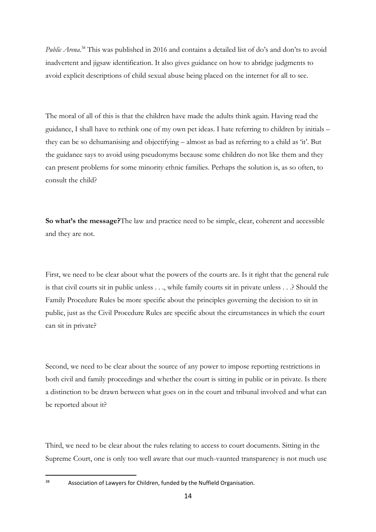Public Arena.<sup>38</sup> This was published in 2016 and contains a detailed list of do's and don'ts to avoid inadvertent and jigsaw identification. It also gives guidance on how to abridge judgments to avoid explicit descriptions of child sexual abuse being placed on the internet for all to see.

The moral of all of this is that the children have made the adults think again. Having read the guidance, I shall have to rethink one of my own pet ideas. I hate referring to children by initials – they can be so dehumanising and objectifying – almost as bad as referring to a child as 'it'. But the guidance says to avoid using pseudonyms because some children do not like them and they can present problems for some minority ethnic families. Perhaps the solution is, as so often, to consult the child?

**So what's the message?**The law and practice need to be simple, clear, coherent and accessible and they are not.

First, we need to be clear about what the powers of the courts are. Is it right that the general rule is that civil courts sit in public unless . . ., while family courts sit in private unless . . .? Should the Family Procedure Rules be more specific about the principles governing the decision to sit in public, just as the Civil Procedure Rules are specific about the circumstances in which the court can sit in private?

Second, we need to be clear about the source of any power to impose reporting restrictions in both civil and family proceedings and whether the court is sitting in public or in private. Is there a distinction to be drawn between what goes on in the court and tribunal involved and what can be reported about it?

Third, we need to be clear about the rules relating to access to court documents. Sitting in the Supreme Court, one is only too well aware that our much-vaunted transparency is not much use

<sup>38</sup> Association of Lawyers for Children, funded by the Nuffield Organisation.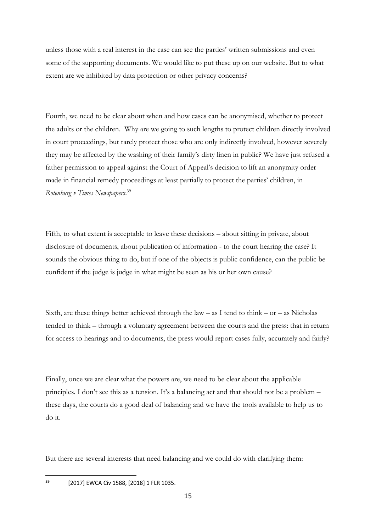unless those with a real interest in the case can see the parties' written submissions and even some of the supporting documents. We would like to put these up on our website. But to what extent are we inhibited by data protection or other privacy concerns?

Fourth, we need to be clear about when and how cases can be anonymised, whether to protect the adults or the children. Why are we going to such lengths to protect children directly involved in court proceedings, but rarely protect those who are only indirectly involved, however severely they may be affected by the washing of their family's dirty linen in public? We have just refused a father permission to appeal against the Court of Appeal's decision to lift an anonymity order made in financial remedy proceedings at least partially to protect the parties' children, in *Rotenburg v Times Newspapers*. 39

Fifth, to what extent is acceptable to leave these decisions – about sitting in private, about disclosure of documents, about publication of information - to the court hearing the case? It sounds the obvious thing to do, but if one of the objects is public confidence, can the public be confident if the judge is judge in what might be seen as his or her own cause?

Sixth, are these things better achieved through the law – as I tend to think –  $or - as$  Nicholas tended to think – through a voluntary agreement between the courts and the press: that in return for access to hearings and to documents, the press would report cases fully, accurately and fairly?

Finally, once we are clear what the powers are, we need to be clear about the applicable principles. I don't see this as a tension. It's a balancing act and that should not be a problem – these days, the courts do a good deal of balancing and we have the tools available to help us to do it.

But there are several interests that need balancing and we could do with clarifying them:

<sup>39</sup> [2017] EWCA Civ 1588, [2018] 1 FLR 1035.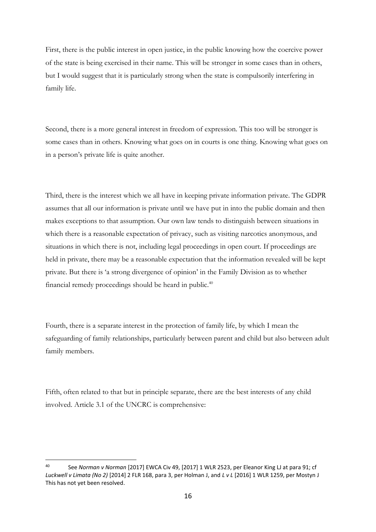First, there is the public interest in open justice, in the public knowing how the coercive power of the state is being exercised in their name. This will be stronger in some cases than in others, but I would suggest that it is particularly strong when the state is compulsorily interfering in family life.

Second, there is a more general interest in freedom of expression. This too will be stronger is some cases than in others. Knowing what goes on in courts is one thing. Knowing what goes on in a person's private life is quite another.

Third, there is the interest which we all have in keeping private information private. The GDPR assumes that all our information is private until we have put in into the public domain and then makes exceptions to that assumption. Our own law tends to distinguish between situations in which there is a reasonable expectation of privacy, such as visiting narcotics anonymous, and situations in which there is not, including legal proceedings in open court. If proceedings are held in private, there may be a reasonable expectation that the information revealed will be kept private. But there is 'a strong divergence of opinion' in the Family Division as to whether financial remedy proceedings should be heard in public.<sup>40</sup>

Fourth, there is a separate interest in the protection of family life, by which I mean the safeguarding of family relationships, particularly between parent and child but also between adult family members.

Fifth, often related to that but in principle separate, there are the best interests of any child involved. Article 3.1 of the UNCRC is comprehensive:

<sup>40</sup> See *Norman v Norman* [2017] EWCA Civ 49, [2017] 1 WLR 2523, per Eleanor King LJ at para 91; cf *Luckwell v Limata (No 2)* [2014] 2 FLR 168, para 3, per Holman J, and *L v L* [2016] 1 WLR 1259, per Mostyn J This has not yet been resolved.